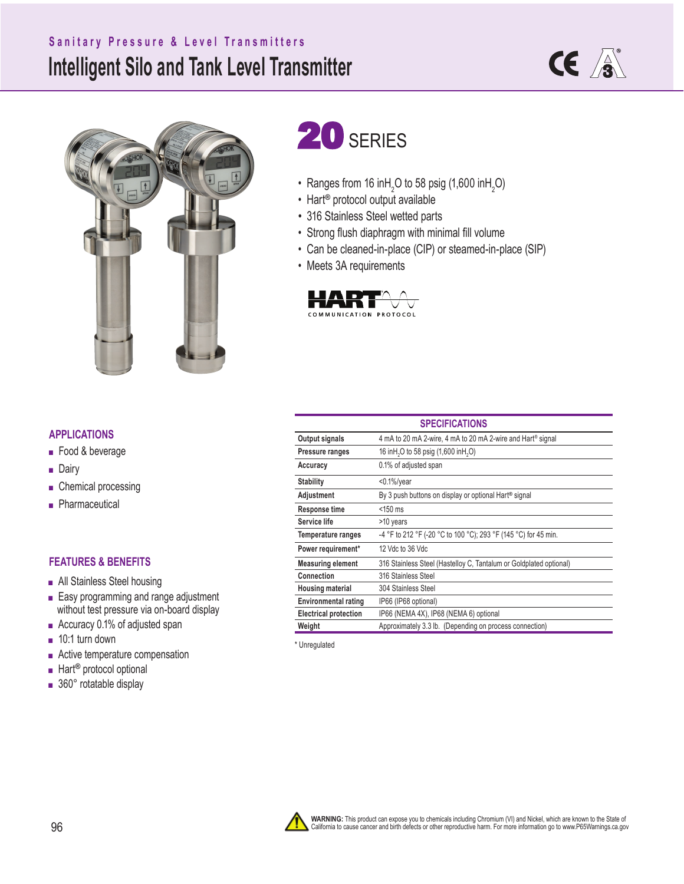# **Intelligent Silo and Tank Level Transmitter Sanitary Pressure & Level Transmitters**





# 20 SERIES

- Ranges from 16 inH<sub>2</sub>O to 58 psig (1,600 inH<sub>2</sub>O)
- Hart**®** protocol output available
- 316 Stainless Steel wetted parts
- Strong flush diaphragm with minimal fill volume
- Can be cleaned-in-place (CIP) or steamed-in-place (SIP)
- Meets 3A requirements



#### **APPLICATIONS**

- Food & beverage
- Dairy
- Chemical processing
- Pharmaceutical

#### **FEATURES & BENEFITS**

- All Stainless Steel housing
- Easy programming and range adjustment without test pressure via on-board display
- Accuracy 0.1% of adjusted span
- 10:1 turn down
- Active temperature compensation
- Hart<sup>®</sup> protocol optional
- 360° rotatable display

| <b>SPECIFICATIONS</b>        |                                                                    |  |  |  |
|------------------------------|--------------------------------------------------------------------|--|--|--|
| Output signals               | 4 mA to 20 mA 2-wire, 4 mA to 20 mA 2-wire and Hart® signal        |  |  |  |
| Pressure ranges              | 16 inH <sub>2</sub> O to 58 psig (1,600 inH <sub>2</sub> O)        |  |  |  |
| Accuracy                     | 0.1% of adjusted span                                              |  |  |  |
| Stability                    | $<$ 0.1%/year                                                      |  |  |  |
| Adjustment                   | By 3 push buttons on display or optional Hart <sup>®</sup> signal  |  |  |  |
| Response time                | $<$ 150 ms                                                         |  |  |  |
| Service life                 | >10 years                                                          |  |  |  |
| Temperature ranges           | -4 °F to 212 °F (-20 °C to 100 °C); 293 °F (145 °C) for 45 min.    |  |  |  |
| Power requirement*           | 12 Vdc to 36 Vdc                                                   |  |  |  |
| <b>Measuring element</b>     | 316 Stainless Steel (Hastelloy C, Tantalum or Goldplated optional) |  |  |  |
| Connection                   | 316 Stainless Steel                                                |  |  |  |
| <b>Housing material</b>      | 304 Stainless Steel                                                |  |  |  |
| <b>Environmental rating</b>  | IP66 (IP68 optional)                                               |  |  |  |
| <b>Electrical protection</b> | IP66 (NEMA 4X), IP68 (NEMA 6) optional                             |  |  |  |
| Weight                       | Approximately 3.3 lb. (Depending on process connection)            |  |  |  |

\* Unregulated

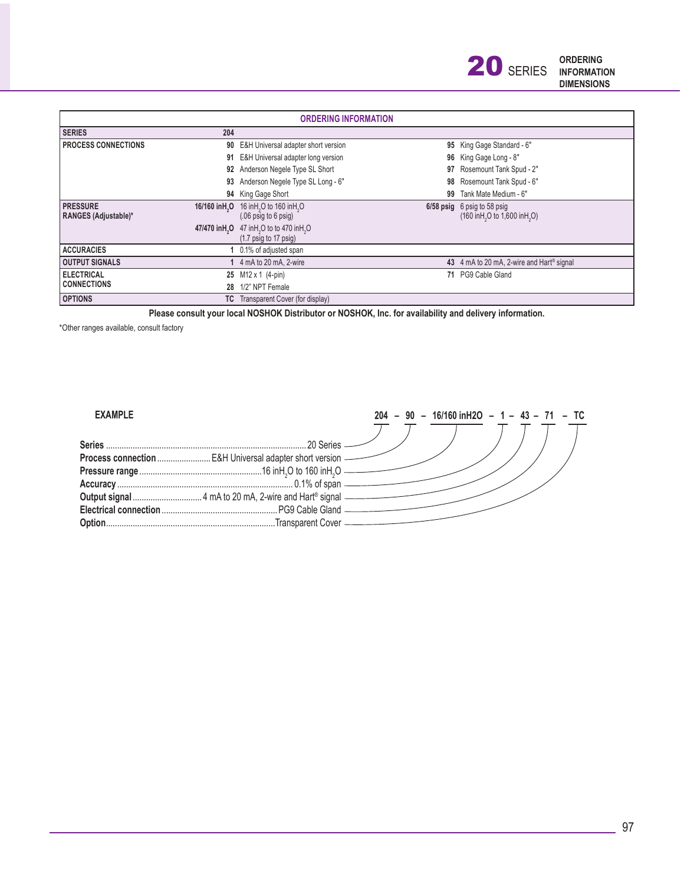| <b>ORDERING INFORMATION</b>                   |     |                                                    |    |                                                        |  |  |
|-----------------------------------------------|-----|----------------------------------------------------|----|--------------------------------------------------------|--|--|
| <b>SERIES</b>                                 | 204 |                                                    |    |                                                        |  |  |
| <b>PROCESS CONNECTIONS</b>                    |     | 90 E&H Universal adapter short version             |    | 95 King Gage Standard - 6"                             |  |  |
|                                               | 91  | E&H Universal adapter long version                 |    | 96 King Gage Long - 8"                                 |  |  |
|                                               |     | 92 Anderson Negele Type SL Short                   | 97 | Rosemount Tank Spud - 2"                               |  |  |
|                                               | 93  | Anderson Negele Type SL Long - 6"                  | 98 | Rosemount Tank Spud - 6"                               |  |  |
|                                               |     | 94 King Gage Short                                 | 99 | Tank Mate Medium - 6"                                  |  |  |
| <b>PRESSURE</b><br>16/160 in H <sub>2</sub> O |     | 16 in H <sub>2</sub> O to 160 in H <sub>2</sub> O  |    | 6/58 psig 6 psig to 58 psig                            |  |  |
| <b>RANGES (Adjustable)*</b>                   |     | $(06 \text{ psig to } 6 \text{ psig})$             |    | (160 in H <sub>2</sub> O to 1,600 in H <sub>2</sub> O) |  |  |
| 47/470 in H <sub>2</sub> O                    |     | 47 inH <sub>2</sub> O to to 470 inH <sub>2</sub> O |    |                                                        |  |  |
|                                               |     | $(1.7 \text{ psig to } 17 \text{ psig})$           |    |                                                        |  |  |
| <b>ACCURACIES</b>                             |     | 0.1% of adjusted span                              |    |                                                        |  |  |
| <b>OUTPUT SIGNALS</b>                         |     | 4 mA to 20 mA, 2-wire                              |    | 43 4 mA to 20 mA, 2-wire and Hart <sup>®</sup> signal  |  |  |
| <b>ELECTRICAL</b>                             |     | 25 M12 x 1 (4-pin)                                 | 71 | PG9 Cable Gland                                        |  |  |
| <b>CONNECTIONS</b>                            | 28  | 1/2" NPT Female                                    |    |                                                        |  |  |
| <b>OPTIONS</b>                                |     | <b>TC</b> Transparent Cover (for display)          |    |                                                        |  |  |

**Please consult your local NOSHOK Distributor or NOSHOK, Inc. for availability and delivery information.**

\*Other ranges available, consult factory

#### **EXAMPLE**

| Series |  |
|--------|--|
|        |  |
|        |  |
|        |  |
|        |  |
|        |  |
|        |  |

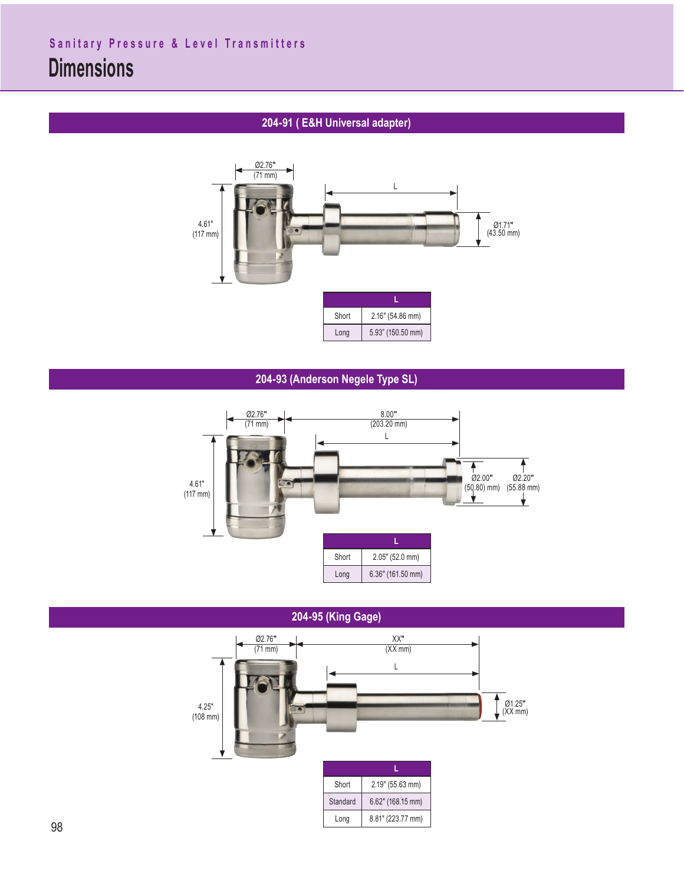## **204-91 ( E&H Universal adapter)**



#### **204-93 (Anderson Negele Type SL)**



**204-95 (King Gage)**